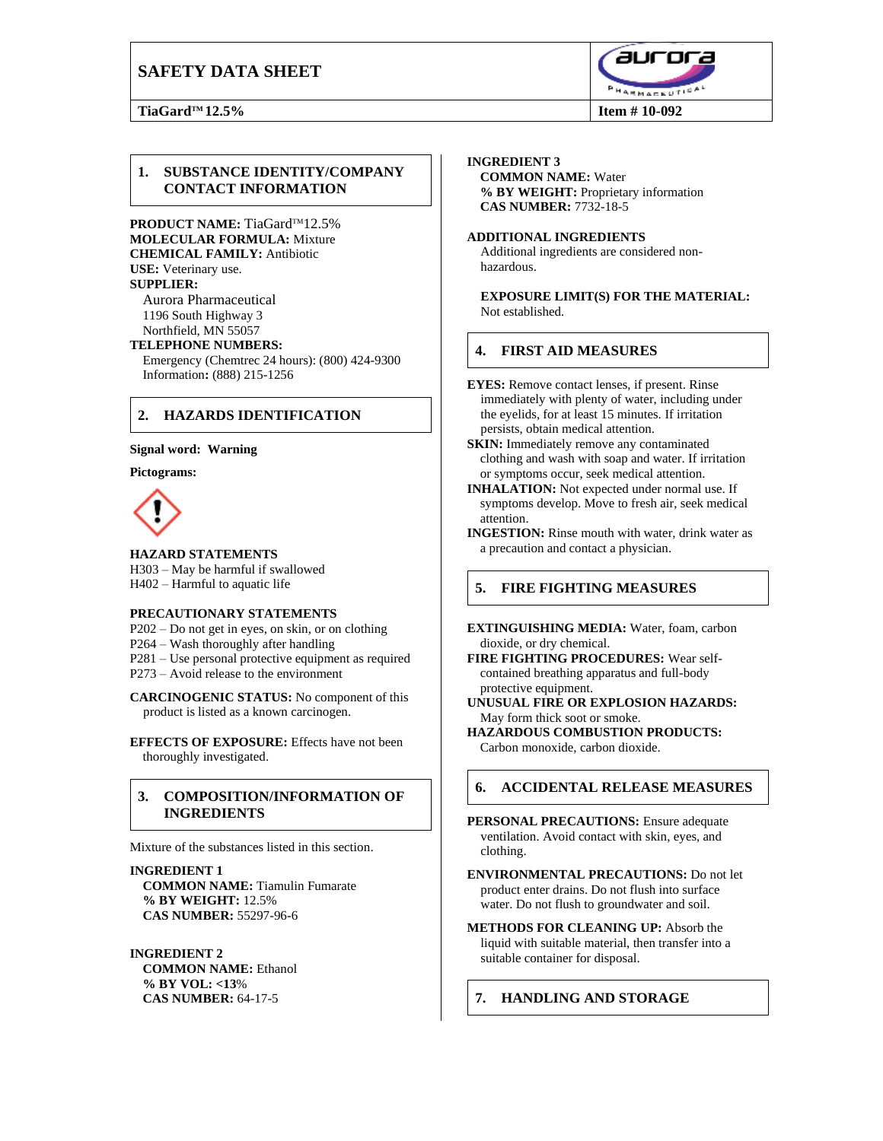# **SAFETY DATA SHEET**



### **1. SUBSTANCE IDENTITY/COMPANY CONTACT INFORMATION**

**PRODUCT NAME:** TiaGard™12.5% **MOLECULAR FORMULA:** Mixture **CHEMICAL FAMILY:** Antibiotic **USE:** Veterinary use. **SUPPLIER:**

Aurora Pharmaceutical 1196 South Highway 3 Northfield, MN 55057

#### **TELEPHONE NUMBERS:**

Emergency (Chemtrec 24 hours): (800) 424-9300 Information**:** (888) 215-1256

## **2. HAZARDS IDENTIFICATION**

#### **Signal word: Warning**

**Pictograms:**



**HAZARD STATEMENTS** H303 – May be harmful if swallowed H402 – Harmful to aquatic life

#### **PRECAUTIONARY STATEMENTS**

P202 – Do not get in eyes, on skin, or on clothing P264 – Wash thoroughly after handling P281 – Use personal protective equipment as required P273 – Avoid release to the environment

**CARCINOGENIC STATUS:** No component of this product is listed as a known carcinogen.

**EFFECTS OF EXPOSURE:** Effects have not been thoroughly investigated.

### **3. COMPOSITION/INFORMATION OF INGREDIENTS**

Mixture of the substances listed in this section.

#### **INGREDIENT 1**

**COMMON NAME:** Tiamulin Fumarate **% BY WEIGHT:** 12.5% **CAS NUMBER:** 55297-96-6

#### **INGREDIENT 2**

**COMMON NAME:** Ethanol **% BY VOL: <13**% **CAS NUMBER:** 64-17-5

#### **INGREDIENT 3**

**COMMON NAME:** Water **% BY WEIGHT:** Proprietary information **CAS NUMBER:** 7732-18-5

#### **ADDITIONAL INGREDIENTS**

Additional ingredients are considered nonhazardous.

**EXPOSURE LIMIT(S) FOR THE MATERIAL:**  Not established.

### **4. FIRST AID MEASURES**

- **EYES:** Remove contact lenses, if present. Rinse immediately with plenty of water, including under the eyelids, for at least 15 minutes. If irritation persists, obtain medical attention.
- **SKIN:** Immediately remove any contaminated clothing and wash with soap and water. If irritation or symptoms occur, seek medical attention.
- **INHALATION:** Not expected under normal use. If symptoms develop. Move to fresh air, seek medical attention.
- **INGESTION:** Rinse mouth with water, drink water as a precaution and contact a physician.

### **5. FIRE FIGHTING MEASURES**

**EXTINGUISHING MEDIA:** Water, foam, carbon dioxide, or dry chemical.

**FIRE FIGHTING PROCEDURES:** Wear selfcontained breathing apparatus and full-body protective equipment.

**UNUSUAL FIRE OR EXPLOSION HAZARDS:** May form thick soot or smoke.

**HAZARDOUS COMBUSTION PRODUCTS:** Carbon monoxide, carbon dioxide.

### **6. ACCIDENTAL RELEASE MEASURES**

- **PERSONAL PRECAUTIONS:** Ensure adequate ventilation. Avoid contact with skin, eyes, and clothing.
- **ENVIRONMENTAL PRECAUTIONS:** Do not let product enter drains. Do not flush into surface water. Do not flush to groundwater and soil.
- **METHODS FOR CLEANING UP:** Absorb the liquid with suitable material, then transfer into a suitable container for disposal.

## **7. HANDLING AND STORAGE**